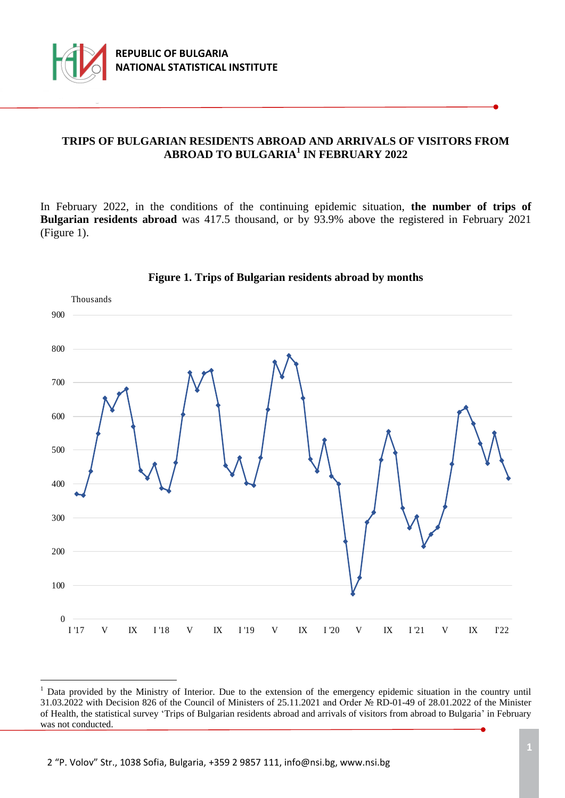

÷.

## **TRIPS OF BULGARIAN RESIDENTS ABROAD AND ARRIVALS OF VISITORS FROM ABROAD TO BULGARIA<sup>1</sup> IN FEBRUARY 2022**

In February 2022, in the conditions of the continuing epidemic situation, the number of trips of **Bulgarian residents abroad** was 417.5 thousand, or by 93.9% above the registered in February 2021 (Figure 1).



## **Figure 1. Trips of Bulgarian residents abroad by months**

<sup>&</sup>lt;sup>1</sup> Data provided by the Ministry of Interior. Due to the extension of the emergency epidemic situation in the country until 31.03.2022 with Decision 826 of the Council of Ministers of 25.11.2021 and Order № RD-01-49 of 28.01.2022 of the Minister of Health, the statistical survey 'Trips of Bulgarian residents abroad and arrivals of visitors from abroad to Bulgaria' in February was not conducted.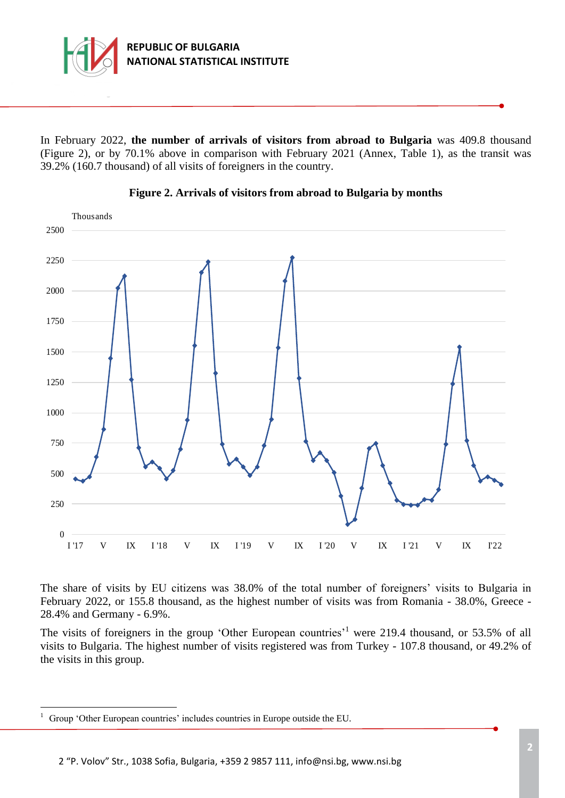

In February 2022, **the number of arrivals of visitors from abroad to Bulgaria** was 409.8 thousand (Figure 2), or by 70.1% above in comparison with February 2021 (Annex, Table 1), as the transit was 39.2% (160.7 thousand) of all visits of foreigners in the country.





The share of visits by ЕU citizens was 38.0% of the total number of foreigners' visits to Bulgaria in February 2022, or 155.8 thousand, as the highest number of visits was from Romania - 38.0%, Greece - 28.4% and Germany - 6.9%.

The visits of foreigners in the group 'Other European countries'<sup>1</sup> were 219.4 thousand, or 53.5% of all visits to Bulgaria. The highest number of visits registered was from Turkey - 107.8 thousand, or 49.2% of the visits in this group.

÷.

<sup>&</sup>lt;sup>1</sup> Group 'Other European countries' includes countries in Europe outside the EU.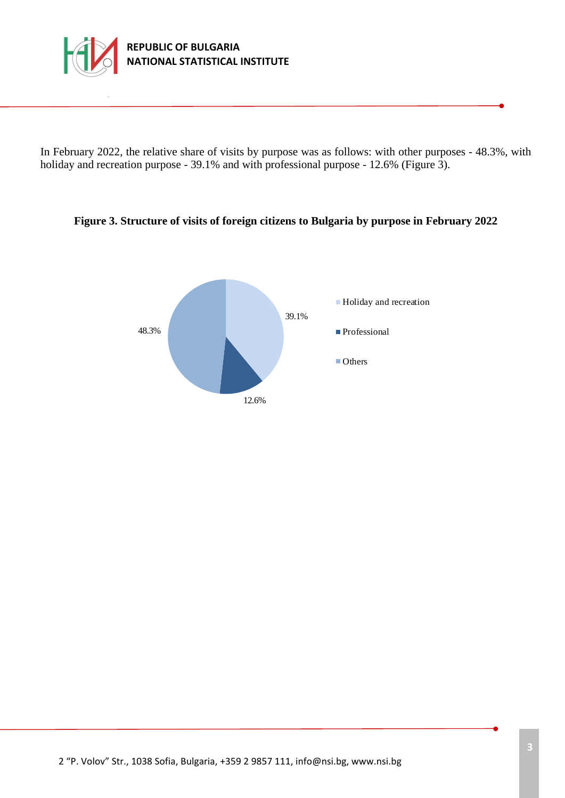

In February 2022, the relative share of visits by purpose was as follows: with other purposes - 48.3%, with holiday and recreation purpose - 39.1% and with professional purpose - 12.6% (Figure 3).

## **Figure 3. Structure of visits of foreign citizens to Bulgaria by purpose in February 2022**

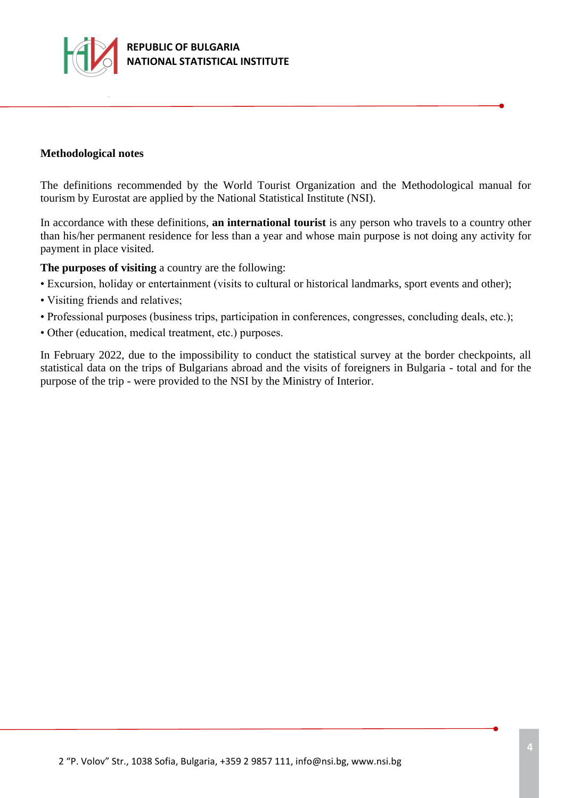

### **Methodological notes**

The definitions recommended by the World Tourist Organization and the Methodological manual for tourism by Eurostat are applied by the National Statistical Institute (NSI).

In accordance with these definitions, **an international tourist** is any person who travels to a country other than his/her permanent residence for less than a year and whose main purpose is not doing any activity for payment in place visited.

**The purposes of visiting** a country are the following:

- Excursion, holiday or entertainment (visits to cultural or historical landmarks, sport events and other);
- Visiting friends and relatives;
- Professional purposes (business trips, participation in conferences, congresses, concluding deals, etc.);
- Other (education, medical treatment, etc.) purposes.

In February 2022, due to the impossibility to conduct the statistical survey at the border checkpoints, all statistical data on the trips of Bulgarians abroad and the visits of foreigners in Bulgaria - total and for the purpose of the trip - were provided to the NSI by the Ministry of Interior.